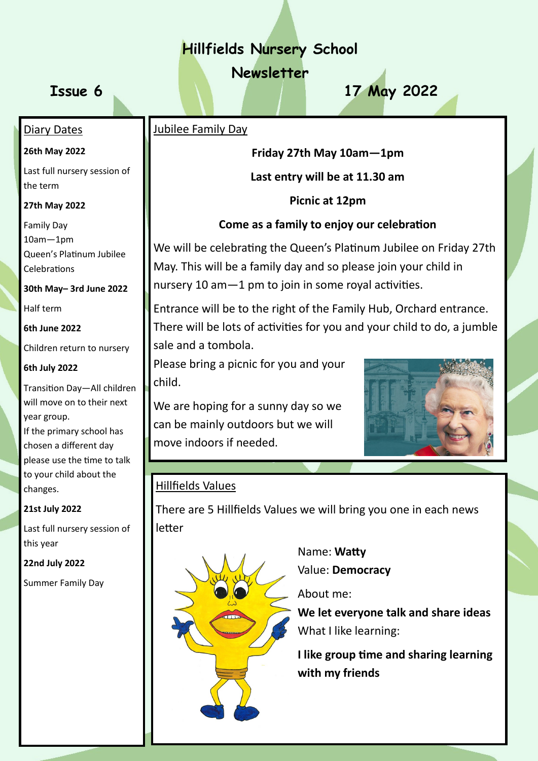# **Hillfields Nursery School**

**Newsletter**

**Issue 6 17 May 2022**

### Jubilee Family Day

**Friday 27th May 10am—1pm**

**Last entry will be at 11.30 am**

**Picnic at 12pm**

## **Come as a family to enjoy our celebration**

We will be celebrating the Queen's Platinum Jubilee on Friday 27th May. This will be a family day and so please join your child in nursery 10 am—1 pm to join in some royal activities.

Entrance will be to the right of the Family Hub, Orchard entrance. There will be lots of activities for you and your child to do, a jumble sale and a tombola.

Please bring a picnic for you and your child.

We are hoping for a sunny day so we can be mainly outdoors but we will move indoors if needed.



## Hillfields Values

There are 5 Hillfields Values we will bring you one in each news letter



 Name: **Watty** Value: **Democracy**

About me:

 **We let everyone talk and share ideas** What I like learning:

 **I like group time and sharing learning with my friends**

# Diary Dates **26th May 2022**

Last full nursery session of the term

**27th May 2022**

Family Day 10am—1pm Queen's Platinum Jubilee Celebrations

**30th May– 3rd June 2022**

Half term

**6th June 2022**

Children return to nursery

#### **6th July 2022**

Transition Day—All children will move on to their next year group. If the primary school has chosen a different day please use the time to talk to your child about the changes.

#### **21st July 2022**

Last full nursery session of this year

**22nd July 2022**

Summer Family Day